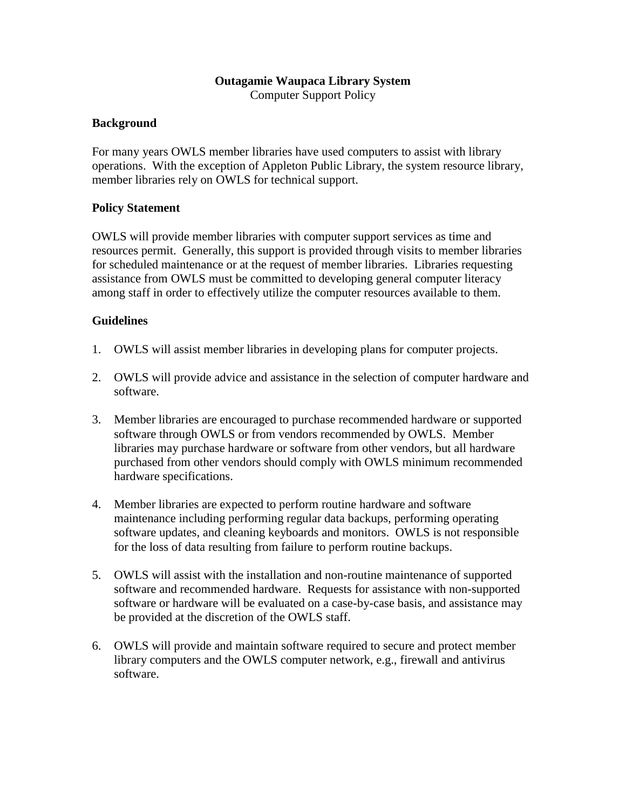## **Outagamie Waupaca Library System**

Computer Support Policy

## **Background**

For many years OWLS member libraries have used computers to assist with library operations. With the exception of Appleton Public Library, the system resource library, member libraries rely on OWLS for technical support.

## **Policy Statement**

OWLS will provide member libraries with computer support services as time and resources permit. Generally, this support is provided through visits to member libraries for scheduled maintenance or at the request of member libraries. Libraries requesting assistance from OWLS must be committed to developing general computer literacy among staff in order to effectively utilize the computer resources available to them.

## **Guidelines**

- 1. OWLS will assist member libraries in developing plans for computer projects.
- 2. OWLS will provide advice and assistance in the selection of computer hardware and software.
- 3. Member libraries are encouraged to purchase recommended hardware or supported software through OWLS or from vendors recommended by OWLS. Member libraries may purchase hardware or software from other vendors, but all hardware purchased from other vendors should comply with OWLS minimum recommended hardware specifications.
- 4. Member libraries are expected to perform routine hardware and software maintenance including performing regular data backups, performing operating software updates, and cleaning keyboards and monitors. OWLS is not responsible for the loss of data resulting from failure to perform routine backups.
- 5. OWLS will assist with the installation and non-routine maintenance of supported software and recommended hardware. Requests for assistance with non-supported software or hardware will be evaluated on a case-by-case basis, and assistance may be provided at the discretion of the OWLS staff.
- 6. OWLS will provide and maintain software required to secure and protect member library computers and the OWLS computer network, e.g., firewall and antivirus software.